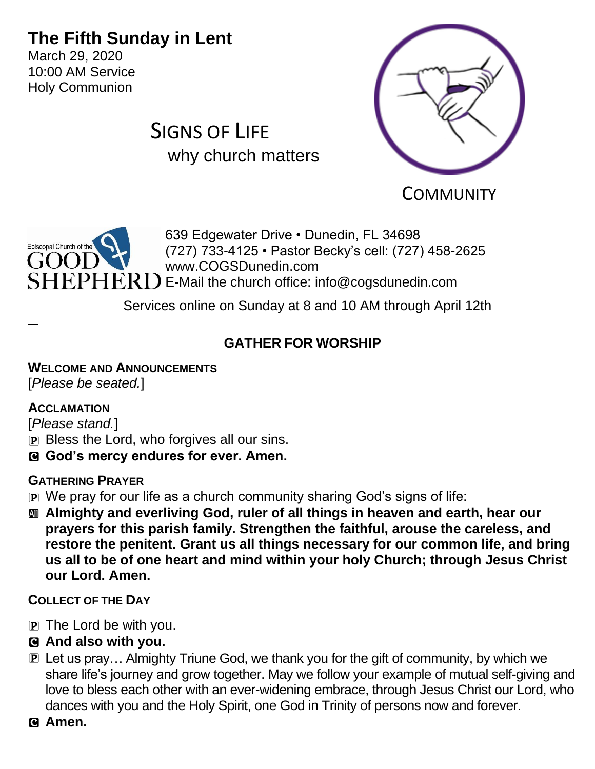# **The Fifth Sunday in Lent**

March 29, 2020 10:00 AM Service Holy Communion

# SIGNS OF LIFE why church matters



**COMMUNITY** 



Services online on Sunday at 8 and 10 AM through April 12th

# **GATHER FOR WORSHIP**

### **WELCOME AND ANNOUNCEMENTS**

[*Please be seated.*]

### **ACCLAMATION**

[*Please stand.*]

- **P** Bless the Lord, who forgives all our sins.
- C **God's mercy endures for ever. Amen.**

### **GATHERING PRAYER**

- P We pray for our life as a church community sharing God's signs of life:
- a **Almighty and everliving God, ruler of all things in heaven and earth, hear our prayers for this parish family. Strengthen the faithful, arouse the careless, and restore the penitent. Grant us all things necessary for our common life, and bring us all to be of one heart and mind within your holy Church; through Jesus Christ our Lord. Amen.**

### **COLLECT OF THE DAY**

- P The Lord be with you.
- C **And also with you.**
- **P** Let us pray... Almighty Triune God, we thank you for the gift of community, by which we share life's journey and grow together. May we follow your example of mutual self-giving and love to bless each other with an ever-widening embrace, through Jesus Christ our Lord, who dances with you and the Holy Spirit, one God in Trinity of persons now and forever.
- C **Amen.**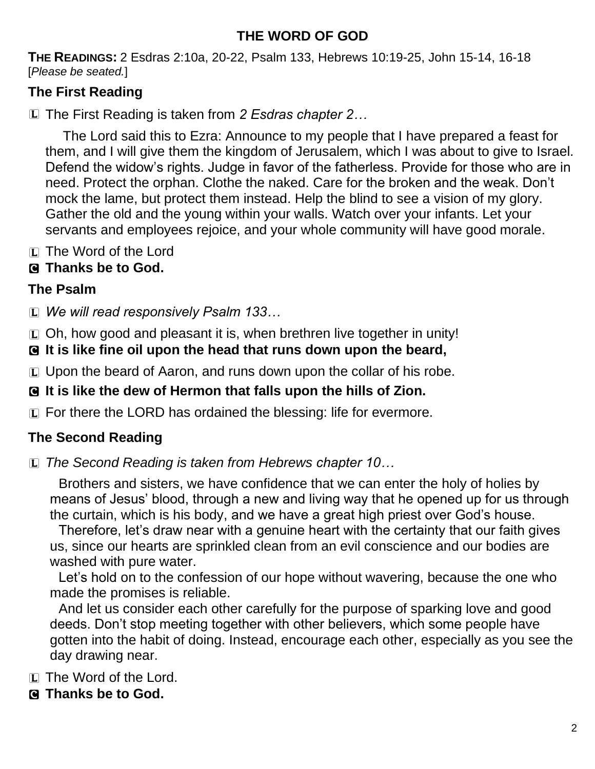## **THE WORD OF GOD**

**THE READINGS:** 2 Esdras 2:10a, 20-22, Psalm 133, Hebrews 10:19-25, John 15-14, 16-18 [*Please be seated.*]

## **The First Reading**

L The First Reading is taken from *2 Esdras chapter 2…*

The Lord said this to Ezra: Announce to my people that I have prepared a feast for them, and I will give them the kingdom of Jerusalem, which I was about to give to Israel. Defend the widow's rights. Judge in favor of the fatherless. Provide for those who are in need. Protect the orphan. Clothe the naked. Care for the broken and the weak. Don't mock the lame, but protect them instead. Help the blind to see a vision of my glory. Gather the old and the young within your walls. Watch over your infants. Let your servants and employees rejoice, and your whole community will have good morale.

L The Word of the Lord

## C **Thanks be to God.**

### **The Psalm**

L *We will read responsively Psalm 133…*

 $\Box$  Oh, how good and pleasant it is, when brethren live together in unity!

C **It is like fine oil upon the head that runs down upon the beard,**

L Upon the beard of Aaron, and runs down upon the collar of his robe.

### C **It is like the dew of Hermon that falls upon the hills of Zion.**

L For there the LORD has ordained the blessing: life for evermore.

# **The Second Reading**

L *The Second Reading is taken from Hebrews chapter 10…*

Brothers and sisters, we have confidence that we can enter the holy of holies by means of Jesus' blood, through a new and living way that he opened up for us through the curtain, which is his body, and we have a great high priest over God's house.

Therefore, let's draw near with a genuine heart with the certainty that our faith gives us, since our hearts are sprinkled clean from an evil conscience and our bodies are washed with pure water.

Let's hold on to the confession of our hope without wavering, because the one who made the promises is reliable.

And let us consider each other carefully for the purpose of sparking love and good deeds. Don't stop meeting together with other believers, which some people have gotten into the habit of doing. Instead, encourage each other, especially as you see the day drawing near.

L The Word of the Lord.

# C **Thanks be to God.**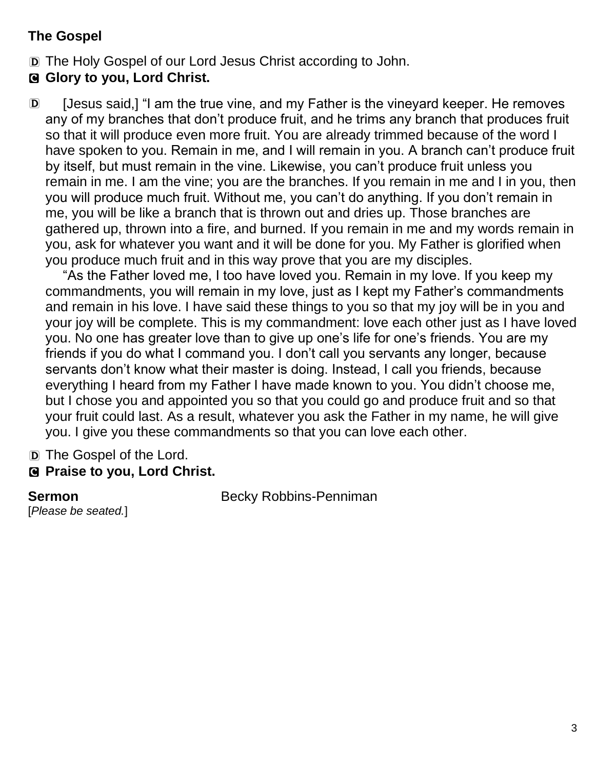### **The Gospel**

D The Holy Gospel of our Lord Jesus Christ according to John.

### C **Glory to you, Lord Christ.**

D [Jesus said,] "I am the true vine, and my Father is the vineyard keeper. He removes any of my branches that don't produce fruit, and he trims any branch that produces fruit so that it will produce even more fruit. You are already trimmed because of the word I have spoken to you. Remain in me, and I will remain in you. A branch can't produce fruit by itself, but must remain in the vine. Likewise, you can't produce fruit unless you remain in me. I am the vine; you are the branches. If you remain in me and I in you, then you will produce much fruit. Without me, you can't do anything. If you don't remain in me, you will be like a branch that is thrown out and dries up. Those branches are gathered up, thrown into a fire, and burned. If you remain in me and my words remain in you, ask for whatever you want and it will be done for you. My Father is glorified when you produce much fruit and in this way prove that you are my disciples.

"As the Father loved me, I too have loved you. Remain in my love. If you keep my commandments, you will remain in my love, just as I kept my Father's commandments and remain in his love. I have said these things to you so that my joy will be in you and your joy will be complete. This is my commandment: love each other just as I have loved you. No one has greater love than to give up one's life for one's friends. You are my friends if you do what I command you. I don't call you servants any longer, because servants don't know what their master is doing. Instead, I call you friends, because everything I heard from my Father I have made known to you. You didn't choose me, but I chose you and appointed you so that you could go and produce fruit and so that your fruit could last. As a result, whatever you ask the Father in my name, he will give you. I give you these commandments so that you can love each other.

D The Gospel of the Lord. C **Praise to you, Lord Christ.** 

[*Please be seated.*]

**Sermon** Becky Robbins-Penniman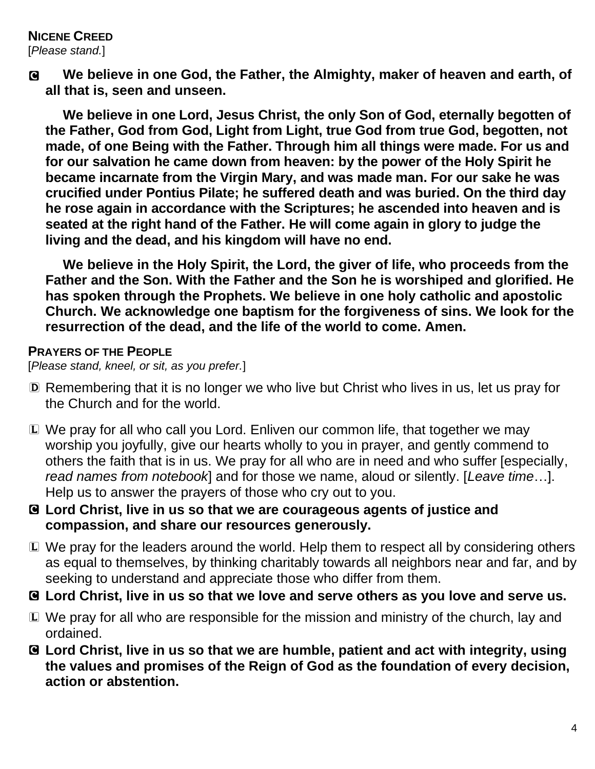# **NICENE CREED**

[*Please stand.*]

C **We believe in one God, the Father, the Almighty, maker of heaven and earth, of all that is, seen and unseen.**

**We believe in one Lord, Jesus Christ, the only Son of God, eternally begotten of the Father, God from God, Light from Light, true God from true God, begotten, not made, of one Being with the Father. Through him all things were made. For us and for our salvation he came down from heaven: by the power of the Holy Spirit he became incarnate from the Virgin Mary, and was made man. For our sake he was crucified under Pontius Pilate; he suffered death and was buried. On the third day he rose again in accordance with the Scriptures; he ascended into heaven and is seated at the right hand of the Father. He will come again in glory to judge the living and the dead, and his kingdom will have no end.**

**We believe in the Holy Spirit, the Lord, the giver of life, who proceeds from the Father and the Son. With the Father and the Son he is worshiped and glorified. He has spoken through the Prophets. We believe in one holy catholic and apostolic Church. We acknowledge one baptism for the forgiveness of sins. We look for the resurrection of the dead, and the life of the world to come. Amen.**

#### **PRAYERS OF THE PEOPLE**

[*Please stand, kneel, or sit, as you prefer.*]

- D Remembering that it is no longer we who live but Christ who lives in us, let us pray for the Church and for the world.
- L We pray for all who call you Lord. Enliven our common life, that together we may worship you joyfully, give our hearts wholly to you in prayer, and gently commend to others the faith that is in us. We pray for all who are in need and who suffer [especially, *read names from notebook*] and for those we name, aloud or silently. [*Leave time*…]. Help us to answer the prayers of those who cry out to you.
- C **Lord Christ, live in us so that we are courageous agents of justice and compassion, and share our resources generously.**
- L We pray for the leaders around the world. Help them to respect all by considering others as equal to themselves, by thinking charitably towards all neighbors near and far, and by seeking to understand and appreciate those who differ from them.
- C **Lord Christ, live in us so that we love and serve others as you love and serve us.**
- L We pray for all who are responsible for the mission and ministry of the church, lay and ordained.
- C **Lord Christ, live in us so that we are humble, patient and act with integrity, using the values and promises of the Reign of God as the foundation of every decision, action or abstention.**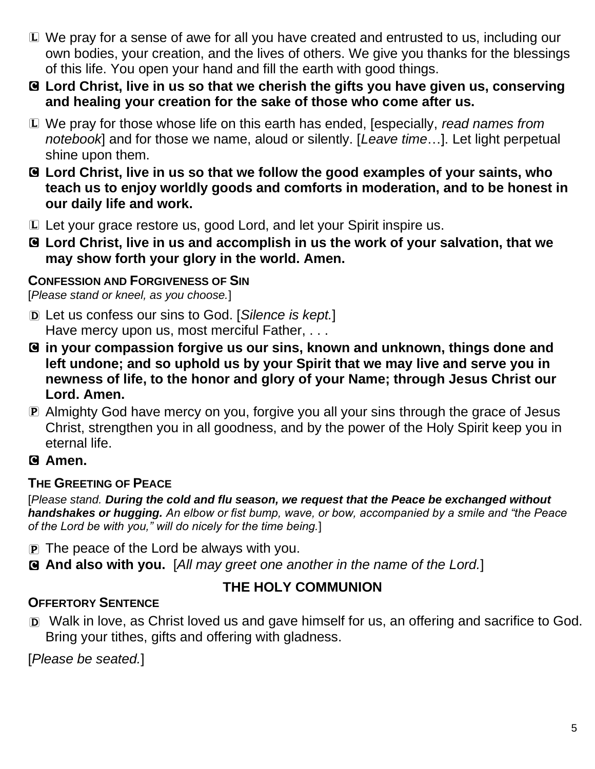- L We pray for a sense of awe for all you have created and entrusted to us, including our own bodies, your creation, and the lives of others. We give you thanks for the blessings of this life. You open your hand and fill the earth with good things.
- C **Lord Christ, live in us so that we cherish the gifts you have given us, conserving and healing your creation for the sake of those who come after us.**
- L We pray for those whose life on this earth has ended, [especially, *read names from notebook*] and for those we name, aloud or silently. [*Leave time*…]. Let light perpetual shine upon them.
- C **Lord Christ, live in us so that we follow the good examples of your saints, who teach us to enjoy worldly goods and comforts in moderation, and to be honest in our daily life and work.**
- L Let your grace restore us, good Lord, and let your Spirit inspire us.
- C **Lord Christ, live in us and accomplish in us the work of your salvation, that we may show forth your glory in the world. Amen.**

### **CONFESSION AND FORGIVENESS OF SIN**

[*Please stand or kneel, as you choose.*]

- D Let us confess our sins to God. [*Silence is kept.*] Have mercy upon us, most merciful Father, ...
- C **in your compassion forgive us our sins, known and unknown, things done and left undone; and so uphold us by your Spirit that we may live and serve you in newness of life, to the honor and glory of your Name; through Jesus Christ our Lord. Amen.**
- P Almighty God have mercy on you, forgive you all your sins through the grace of Jesus Christ, strengthen you in all goodness, and by the power of the Holy Spirit keep you in eternal life.

### C **Amen.**

### **THE GREETING OF PEACE**

[*Please stand. During the cold and flu season, we request that the Peace be exchanged without handshakes or hugging. An elbow or fist bump, wave, or bow, accompanied by a smile and "the Peace of the Lord be with you," will do nicely for the time being.*]

- $\mathbf{P}$  The peace of the Lord be always with you.
- C **And also with you.** [*All may greet one another in the name of the Lord.*]

### **THE HOLY COMMUNION**

### **OFFERTORY SENTENCE**

D Walk in love, as Christ loved us and gave himself for us, an offering and sacrifice to God. Bring your tithes, gifts and offering with gladness.

[*Please be seated.*]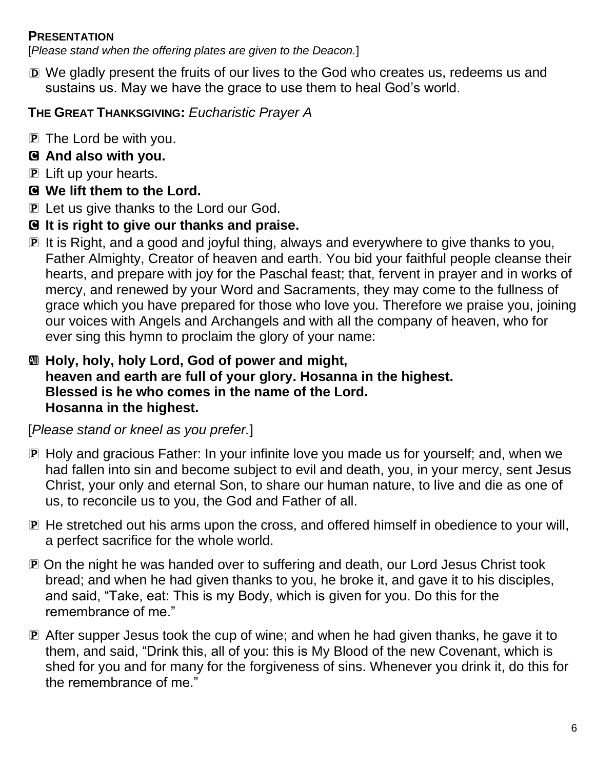#### **PRESENTATION**

[*Please stand when the offering plates are given to the Deacon.*]

D We gladly present the fruits of our lives to the God who creates us, redeems us and sustains us. May we have the grace to use them to heal God's world.

# **THE GREAT THANKSGIVING:** *Eucharistic Prayer A*

- P The Lord be with you.
- C **And also with you.**
- **P** Lift up your hearts.
- C **We lift them to the Lord.**
- P Let us give thanks to the Lord our God.
- C **It is right to give our thanks and praise.**
- P It is Right, and a good and joyful thing, always and everywhere to give thanks to you, Father Almighty, Creator of heaven and earth. You bid your faithful people cleanse their hearts, and prepare with joy for the Paschal feast; that, fervent in prayer and in works of mercy, and renewed by your Word and Sacraments, they may come to the fullness of grace which you have prepared for those who love you. Therefore we praise you, joining our voices with Angels and Archangels and with all the company of heaven, who for ever sing this hymn to proclaim the glory of your name:

### a **Holy, holy, holy Lord, God of power and might, heaven and earth are full of your glory. Hosanna in the highest. Blessed is he who comes in the name of the Lord. Hosanna in the highest.**

[*Please stand or kneel as you prefer.*]

- P Holy and gracious Father: In your infinite love you made us for yourself; and, when we had fallen into sin and become subject to evil and death, you, in your mercy, sent Jesus Christ, your only and eternal Son, to share our human nature, to live and die as one of us, to reconcile us to you, the God and Father of all.
- P He stretched out his arms upon the cross, and offered himself in obedience to your will, a perfect sacrifice for the whole world.
- P On the night he was handed over to suffering and death, our Lord Jesus Christ took bread; and when he had given thanks to you, he broke it, and gave it to his disciples, and said, "Take, eat: This is my Body, which is given for you. Do this for the remembrance of me."
- P After supper Jesus took the cup of wine; and when he had given thanks, he gave it to them, and said, "Drink this, all of you: this is My Blood of the new Covenant, which is shed for you and for many for the forgiveness of sins. Whenever you drink it, do this for the remembrance of me."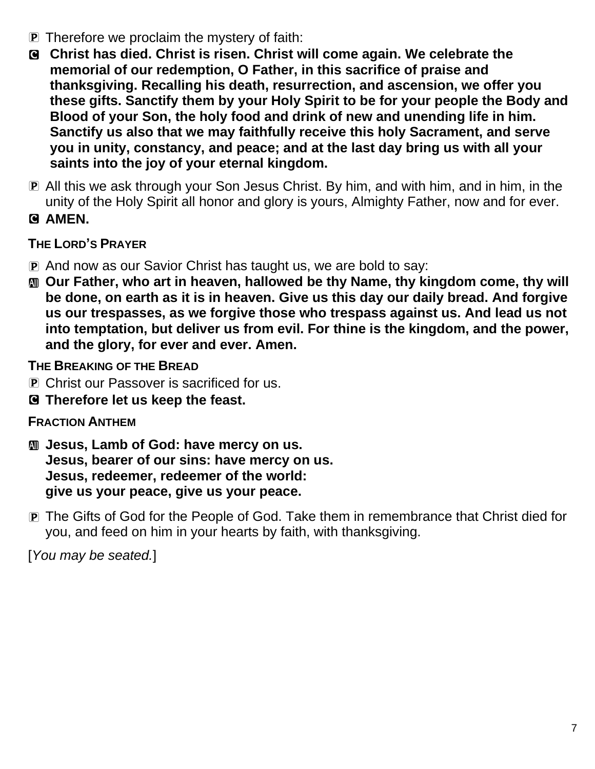- P Therefore we proclaim the mystery of faith:
- C **Christ has died. Christ is risen. Christ will come again. We celebrate the memorial of our redemption, O Father, in this sacrifice of praise and thanksgiving. Recalling his death, resurrection, and ascension, we offer you these gifts. Sanctify them by your Holy Spirit to be for your people the Body and Blood of your Son, the holy food and drink of new and unending life in him. Sanctify us also that we may faithfully receive this holy Sacrament, and serve you in unity, constancy, and peace; and at the last day bring us with all your saints into the joy of your eternal kingdom.**
- P All this we ask through your Son Jesus Christ. By him, and with him, and in him, in the unity of the Holy Spirit all honor and glory is yours, Almighty Father, now and for ever.
- C **AMEN.**

## **THE LORD'S PRAYER**

- P And now as our Savior Christ has taught us, we are bold to say:
- $\text{M}$  **Our Father, who art in heaven, hallowed be thy Name, thy kingdom come, thy will be done, on earth as it is in heaven. Give us this day our daily bread. And forgive us our trespasses, as we forgive those who trespass against us. And lead us not into temptation, but deliver us from evil. For thine is the kingdom, and the power, and the glory, for ever and ever. Amen.**

**THE BREAKING OF THE BREAD**

- **P** Christ our Passover is sacrificed for us.
- C **Therefore let us keep the feast.**

# **FRACTION ANTHEM**

- a **Jesus, Lamb of God: have mercy on us. Jesus, bearer of our sins: have mercy on us. Jesus, redeemer, redeemer of the world: give us your peace, give us your peace.**
- P The Gifts of God for the People of God. Take them in remembrance that Christ died for you, and feed on him in your hearts by faith, with thanksgiving.

[*You may be seated.*]